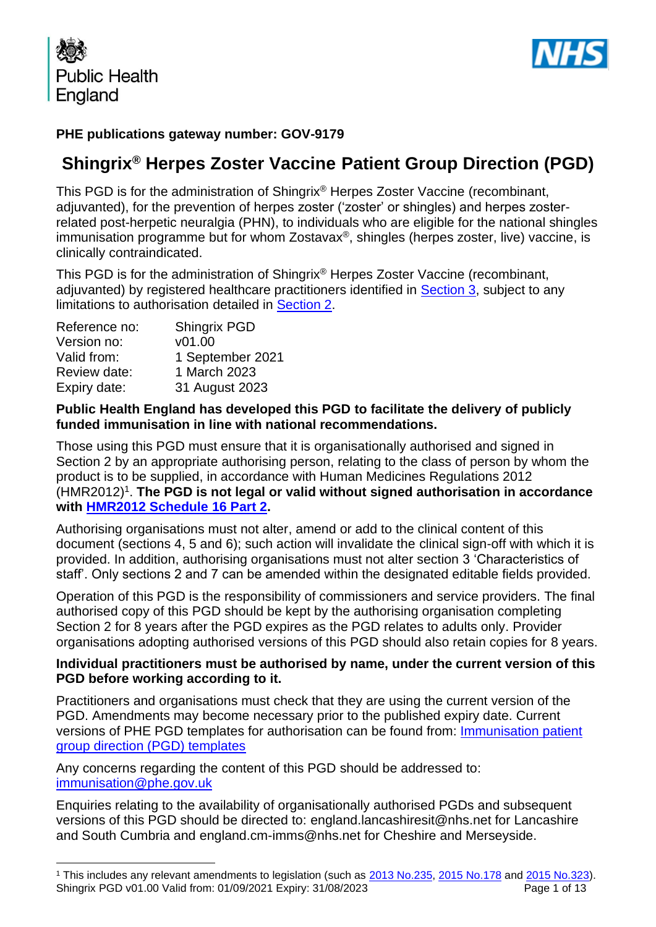



## **PHE publications gateway number: GOV-9179**

# **Shingrix® Herpes Zoster Vaccine Patient Group Direction (PGD)**

This PGD is for the administration of Shingrix® Herpes Zoster Vaccine (recombinant, adjuvanted), for the prevention of herpes zoster ('zoster' or shingles) and herpes zosterrelated post-herpetic neuralgia (PHN), to individuals who are eligible for the national shingles immunisation programme but for whom Zostavax®, shingles (herpes zoster, live) vaccine, is clinically contraindicated.

This PGD is for the administration of Shingrix® Herpes Zoster Vaccine (recombinant, adjuvanted) by registered healthcare practitioners identified in [Section 3,](#page-4-0) subject to any limitations to authorisation detailed in [Section 2.](#page-3-0)

| Shingrix PGD     |
|------------------|
| v01.00           |
| 1 September 2021 |
| 1 March 2023     |
| 31 August 2023   |
|                  |

#### **Public Health England has developed this PGD to facilitate the delivery of publicly funded immunisation in line with national recommendations.**

Those using this PGD must ensure that it is organisationally authorised and signed in Section 2 by an appropriate authorising person, relating to the class of person by whom the product is to be supplied, in accordance with Human Medicines Regulations 2012 (HMR2012)<sup>1</sup>. The PGD is not legal or valid without signed authorisation in accordance **with [HMR2012 Schedule](http://www.legislation.gov.uk/uksi/2012/1916/schedule/16/part/2/made) 16 Part 2.** 

Authorising organisations must not alter, amend or add to the clinical content of this document (sections 4, 5 and 6); such action will invalidate the clinical sign-off with which it is provided. In addition, authorising organisations must not alter section 3 'Characteristics of staff'. Only sections 2 and 7 can be amended within the designated editable fields provided.

Operation of this PGD is the responsibility of commissioners and service providers. The final authorised copy of this PGD should be kept by the authorising organisation completing Section 2 for 8 years after the PGD expires as the PGD relates to adults only. Provider organisations adopting authorised versions of this PGD should also retain copies for 8 years.

#### **Individual practitioners must be authorised by name, under the current version of this PGD before working according to it.**

Practitioners and organisations must check that they are using the current version of the PGD. Amendments may become necessary prior to the published expiry date. Current versions of PHE PGD templates for authorisation can be found from: [Immunisation patient](https://www.gov.uk/government/collections/immunisation-patient-group-direction-pgd)  [group direction \(PGD\) templates](https://www.gov.uk/government/collections/immunisation-patient-group-direction-pgd)

Any concerns regarding the content of this PGD should be addressed to: [immunisation@phe.gov.uk](mailto:Immunisation@phe.gov.uk)

Enquiries relating to the availability of organisationally authorised PGDs and subsequent versions of this PGD should be directed to: england.lancashiresit@nhs.net for Lancashire and South Cumbria and england.cm-imms@nhs.net for Cheshire and Merseyside.

Shingrix PGD v01.00 Valid from: 01/09/2021 Expiry: 31/08/2023 **Page 1 01 13** Page 1 of 13 <sup>1</sup> This includes any relevant amendments to legislation (such as [2013 No.235,](http://www.legislation.gov.uk/uksi/2013/235/contents/made) [2015 No.178](http://www.legislation.gov.uk/nisr/2015/178/contents/made) and [2015 No.323\)](http://www.legislation.gov.uk/uksi/2015/323/contents/made).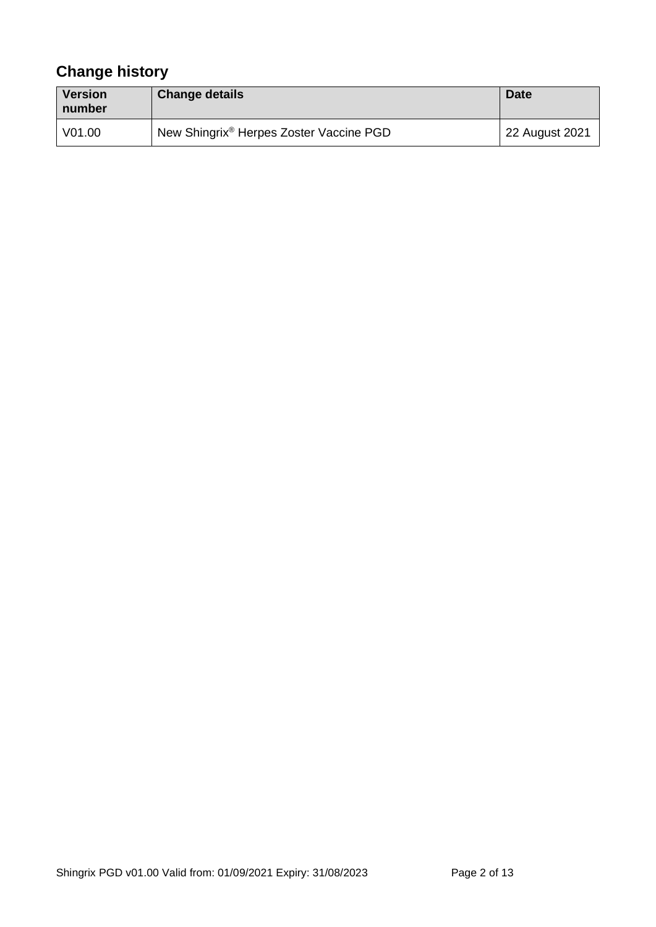# **Change history**

| Version<br>number | <b>Change details</b>                               | <b>Date</b>    |
|-------------------|-----------------------------------------------------|----------------|
| V01.00            | New Shingrix <sup>®</sup> Herpes Zoster Vaccine PGD | 22 August 2021 |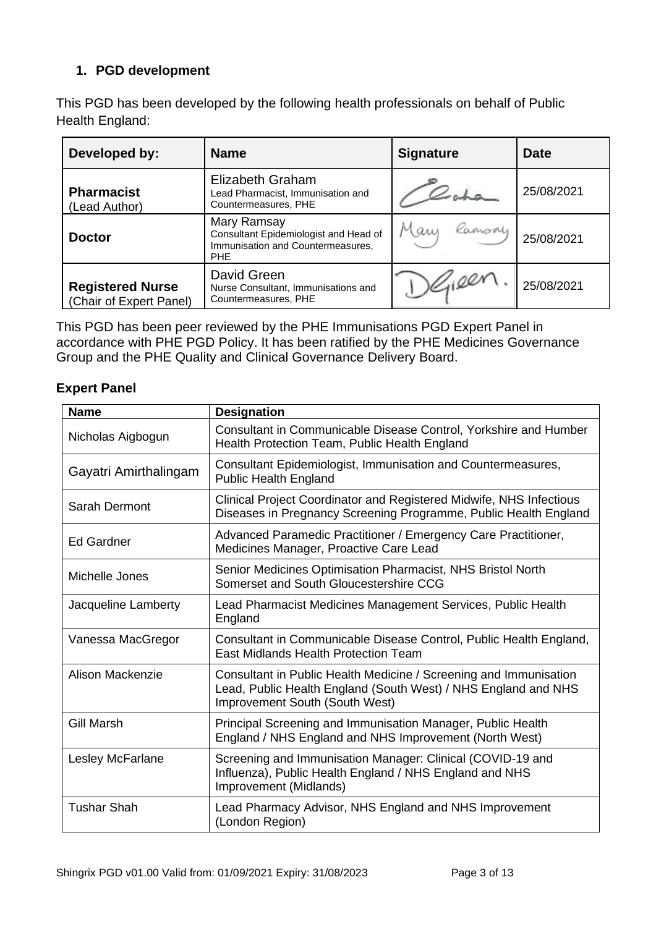# **1. PGD development**

This PGD has been developed by the following health professionals on behalf of Public Health England:

| Developed by:                                      | <b>Name</b>                                                                                             | <b>Signature</b> | <b>Date</b> |
|----------------------------------------------------|---------------------------------------------------------------------------------------------------------|------------------|-------------|
| <b>Pharmacist</b><br>(Lead Author)                 | Elizabeth Graham<br>Lead Pharmacist, Immunisation and<br>Countermeasures, PHE                           |                  | 25/08/2021  |
| <b>Doctor</b>                                      | Mary Ramsay<br>Consultant Epidemiologist and Head of<br>Immunisation and Countermeasures,<br><b>PHE</b> | Mary Ramsay      | 25/08/2021  |
| <b>Registered Nurse</b><br>(Chair of Expert Panel) | David Green<br>Nurse Consultant, Immunisations and<br>Countermeasures, PHE                              |                  | 25/08/2021  |

This PGD has been peer reviewed by the PHE Immunisations PGD Expert Panel in accordance with PHE PGD Policy. It has been ratified by the PHE Medicines Governance Group and the PHE Quality and Clinical Governance Delivery Board.

#### **Expert Panel**

| <b>Name</b>           | <b>Designation</b>                                                                                                                                                    |
|-----------------------|-----------------------------------------------------------------------------------------------------------------------------------------------------------------------|
| Nicholas Aigbogun     | Consultant in Communicable Disease Control, Yorkshire and Humber<br>Health Protection Team, Public Health England                                                     |
| Gayatri Amirthalingam | Consultant Epidemiologist, Immunisation and Countermeasures,<br><b>Public Health England</b>                                                                          |
| Sarah Dermont         | Clinical Project Coordinator and Registered Midwife, NHS Infectious<br>Diseases in Pregnancy Screening Programme, Public Health England                               |
| <b>Ed Gardner</b>     | Advanced Paramedic Practitioner / Emergency Care Practitioner,<br>Medicines Manager, Proactive Care Lead                                                              |
| Michelle Jones        | Senior Medicines Optimisation Pharmacist, NHS Bristol North<br>Somerset and South Gloucestershire CCG                                                                 |
| Jacqueline Lamberty   | Lead Pharmacist Medicines Management Services, Public Health<br>England                                                                                               |
| Vanessa MacGregor     | Consultant in Communicable Disease Control, Public Health England,<br><b>East Midlands Health Protection Team</b>                                                     |
| Alison Mackenzie      | Consultant in Public Health Medicine / Screening and Immunisation<br>Lead, Public Health England (South West) / NHS England and NHS<br>Improvement South (South West) |
| <b>Gill Marsh</b>     | Principal Screening and Immunisation Manager, Public Health<br>England / NHS England and NHS Improvement (North West)                                                 |
| Lesley McFarlane      | Screening and Immunisation Manager: Clinical (COVID-19 and<br>Influenza), Public Health England / NHS England and NHS<br>Improvement (Midlands)                       |
| <b>Tushar Shah</b>    | Lead Pharmacy Advisor, NHS England and NHS Improvement<br>(London Region)                                                                                             |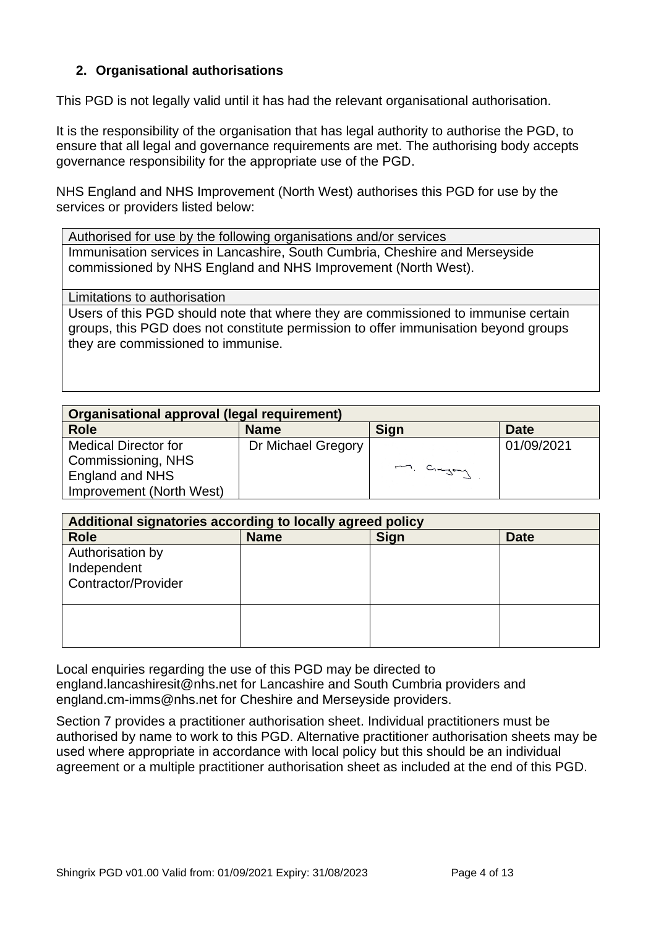## **2. Organisational authorisations**

This PGD is not legally valid until it has had the relevant organisational authorisation.

It is the responsibility of the organisation that has legal authority to authorise the PGD, to ensure that all legal and governance requirements are met. The authorising body accepts governance responsibility for the appropriate use of the PGD.

NHS England and NHS Improvement (North West) authorises this PGD for use by the services or providers listed below:

Authorised for use by the following organisations and/or services Immunisation services in Lancashire, South Cumbria, Cheshire and Merseyside commissioned by NHS England and NHS Improvement (North West).

<span id="page-3-0"></span>Limitations to authorisation

Users of this PGD should note that where they are commissioned to immunise certain groups, this PGD does not constitute permission to offer immunisation beyond groups they are commissioned to immunise.

| Organisational approval (legal requirement) |                    |             |             |
|---------------------------------------------|--------------------|-------------|-------------|
| <b>Role</b>                                 | <b>Name</b>        | <b>Sign</b> | <b>Date</b> |
| <b>Medical Director for</b>                 | Dr Michael Gregory |             | 01/09/2021  |
| Commissioning, NHS                          |                    |             |             |
| England and NHS                             |                    | m. Cingay   |             |
| Improvement (North West)                    |                    |             |             |

| Additional signatories according to locally agreed policy     |             |      |             |
|---------------------------------------------------------------|-------------|------|-------------|
| <b>Role</b>                                                   | <b>Name</b> | Sign | <b>Date</b> |
| Authorisation by<br>Independent<br><b>Contractor/Provider</b> |             |      |             |
|                                                               |             |      |             |

Local enquiries regarding the use of this PGD may be directed to england.lancashiresit@nhs.net for Lancashire and South Cumbria providers and england.cm-imms@nhs.net for Cheshire and Merseyside providers.

Section 7 provides a practitioner authorisation sheet. Individual practitioners must be authorised by name to work to this PGD. Alternative practitioner authorisation sheets may be used where appropriate in accordance with local policy but this should be an individual agreement or a multiple practitioner authorisation sheet as included at the end of this PGD.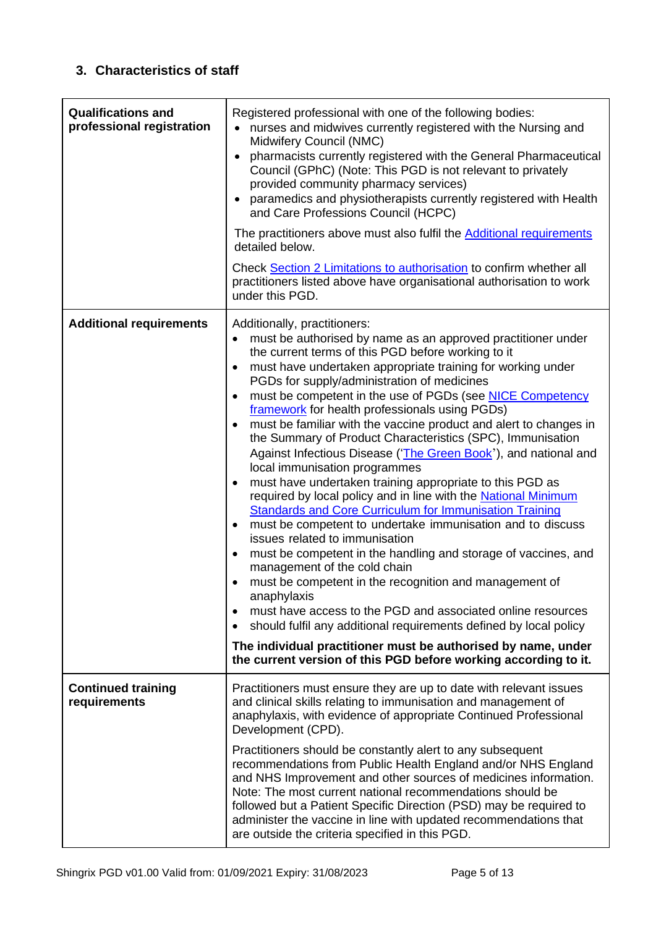# <span id="page-4-0"></span>**3. Characteristics of staff**

<span id="page-4-1"></span>

| <b>Qualifications and</b><br>professional registration | Registered professional with one of the following bodies:<br>nurses and midwives currently registered with the Nursing and<br>Midwifery Council (NMC)<br>pharmacists currently registered with the General Pharmaceutical<br>$\bullet$<br>Council (GPhC) (Note: This PGD is not relevant to privately<br>provided community pharmacy services)<br>paramedics and physiotherapists currently registered with Health<br>and Care Professions Council (HCPC)<br>The practitioners above must also fulfil the <b>Additional requirements</b><br>detailed below.<br>Check Section 2 Limitations to authorisation to confirm whether all<br>practitioners listed above have organisational authorisation to work<br>under this PGD.                                                                                                                                                                                                                                                                                                                                                                                                                                                                                                                                                                                                                                                                                                                           |
|--------------------------------------------------------|---------------------------------------------------------------------------------------------------------------------------------------------------------------------------------------------------------------------------------------------------------------------------------------------------------------------------------------------------------------------------------------------------------------------------------------------------------------------------------------------------------------------------------------------------------------------------------------------------------------------------------------------------------------------------------------------------------------------------------------------------------------------------------------------------------------------------------------------------------------------------------------------------------------------------------------------------------------------------------------------------------------------------------------------------------------------------------------------------------------------------------------------------------------------------------------------------------------------------------------------------------------------------------------------------------------------------------------------------------------------------------------------------------------------------------------------------------|
| <b>Additional requirements</b>                         | Additionally, practitioners:<br>must be authorised by name as an approved practitioner under<br>the current terms of this PGD before working to it<br>must have undertaken appropriate training for working under<br>$\bullet$<br>PGDs for supply/administration of medicines<br>must be competent in the use of PGDs (see NICE Competency<br>framework for health professionals using PGDs)<br>must be familiar with the vaccine product and alert to changes in<br>$\bullet$<br>the Summary of Product Characteristics (SPC), Immunisation<br>Against Infectious Disease ('The Green Book'), and national and<br>local immunisation programmes<br>must have undertaken training appropriate to this PGD as<br>required by local policy and in line with the National Minimum<br><b>Standards and Core Curriculum for Immunisation Training</b><br>must be competent to undertake immunisation and to discuss<br>$\bullet$<br>issues related to immunisation<br>must be competent in the handling and storage of vaccines, and<br>$\bullet$<br>management of the cold chain<br>must be competent in the recognition and management of<br>anaphylaxis<br>must have access to the PGD and associated online resources<br>$\bullet$<br>should fulfil any additional requirements defined by local policy<br>$\bullet$<br>The individual practitioner must be authorised by name, under<br>the current version of this PGD before working according to it. |
| <b>Continued training</b><br>requirements              | Practitioners must ensure they are up to date with relevant issues<br>and clinical skills relating to immunisation and management of<br>anaphylaxis, with evidence of appropriate Continued Professional<br>Development (CPD).<br>Practitioners should be constantly alert to any subsequent<br>recommendations from Public Health England and/or NHS England<br>and NHS Improvement and other sources of medicines information.<br>Note: The most current national recommendations should be<br>followed but a Patient Specific Direction (PSD) may be required to<br>administer the vaccine in line with updated recommendations that<br>are outside the criteria specified in this PGD.                                                                                                                                                                                                                                                                                                                                                                                                                                                                                                                                                                                                                                                                                                                                                              |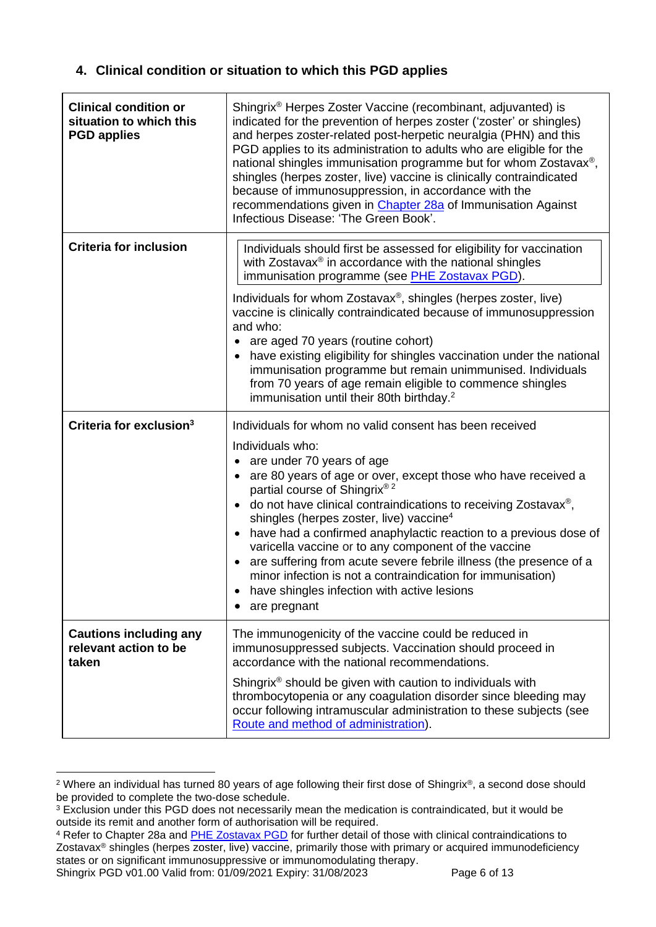## **4. Clinical condition or situation to which this PGD applies**

<span id="page-5-0"></span>

| <b>Clinical condition or</b><br>situation to which this<br><b>PGD applies</b> | Shingrix <sup>®</sup> Herpes Zoster Vaccine (recombinant, adjuvanted) is<br>indicated for the prevention of herpes zoster ('zoster' or shingles)<br>and herpes zoster-related post-herpetic neuralgia (PHN) and this<br>PGD applies to its administration to adults who are eligible for the<br>national shingles immunisation programme but for whom Zostavax <sup>®</sup> ,<br>shingles (herpes zoster, live) vaccine is clinically contraindicated<br>because of immunosuppression, in accordance with the<br>recommendations given in Chapter 28a of Immunisation Against<br>Infectious Disease: 'The Green Book'.                                               |
|-------------------------------------------------------------------------------|----------------------------------------------------------------------------------------------------------------------------------------------------------------------------------------------------------------------------------------------------------------------------------------------------------------------------------------------------------------------------------------------------------------------------------------------------------------------------------------------------------------------------------------------------------------------------------------------------------------------------------------------------------------------|
| <b>Criteria for inclusion</b>                                                 | Individuals should first be assessed for eligibility for vaccination<br>with Zostavax <sup>®</sup> in accordance with the national shingles<br>immunisation programme (see PHE Zostavax PGD).<br>Individuals for whom Zostavax <sup>®</sup> , shingles (herpes zoster, live)<br>vaccine is clinically contraindicated because of immunosuppression<br>and who:<br>• are aged 70 years (routine cohort)<br>• have existing eligibility for shingles vaccination under the national<br>immunisation programme but remain unimmunised. Individuals<br>from 70 years of age remain eligible to commence shingles<br>immunisation until their 80th birthday. <sup>2</sup> |
| Criteria for exclusion <sup>3</sup>                                           | Individuals for whom no valid consent has been received                                                                                                                                                                                                                                                                                                                                                                                                                                                                                                                                                                                                              |
|                                                                               | Individuals who:<br>• are under 70 years of age<br>• are 80 years of age or over, except those who have received a<br>partial course of Shingrix® <sup>2</sup><br>do not have clinical contraindications to receiving Zostavax®,<br>shingles (herpes zoster, live) vaccine <sup>4</sup><br>have had a confirmed anaphylactic reaction to a previous dose of<br>varicella vaccine or to any component of the vaccine<br>are suffering from acute severe febrile illness (the presence of a<br>minor infection is not a contraindication for immunisation)<br>have shingles infection with active lesions<br>are pregnant                                              |
| <b>Cautions including any</b><br>relevant action to be<br>taken               | The immunogenicity of the vaccine could be reduced in<br>immunosuppressed subjects. Vaccination should proceed in<br>accordance with the national recommendations.                                                                                                                                                                                                                                                                                                                                                                                                                                                                                                   |
|                                                                               | Shingrix <sup>®</sup> should be given with caution to individuals with<br>thrombocytopenia or any coagulation disorder since bleeding may<br>occur following intramuscular administration to these subjects (see<br>Route and method of administration).                                                                                                                                                                                                                                                                                                                                                                                                             |

<sup>2</sup> Where an individual has turned 80 years of age following their first dose of Shingrix®, a second dose should be provided to complete the two-dose schedule.

Shingrix PGD v01.00 Valid from: 01/09/2021 Expiry: 31/08/2023

<sup>&</sup>lt;sup>3</sup> Exclusion under this PGD does not necessarily mean the medication is contraindicated, but it would be outside its remit and another form of authorisation will be required.

<sup>4</sup> Refer to Chapter 28a and [PHE Zostavax PGD](https://www.gov.uk/government/publications/shingles-vaccine-zostavax-patient-group-direction-pgd-template) for further detail of those with clinical contraindications to Zostavax® shingles (herpes zoster, live) vaccine, primarily those with primary or acquired immunodeficiency states or on significant immunosuppressive or immunomodulating therapy.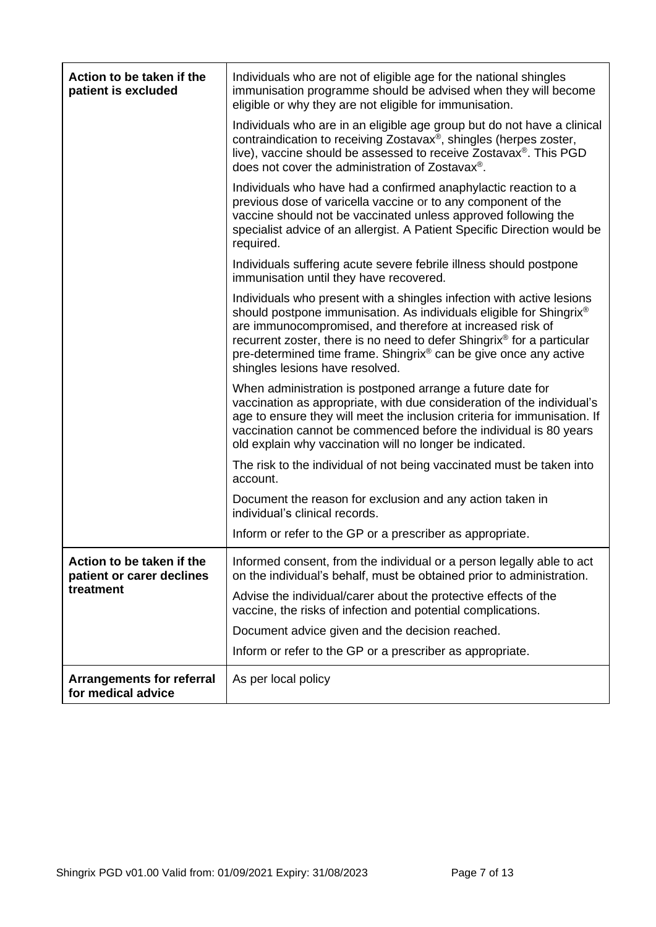| Action to be taken if the<br>patient is excluded       | Individuals who are not of eligible age for the national shingles<br>immunisation programme should be advised when they will become<br>eligible or why they are not eligible for immunisation.                                                                                                                                                                                                         |
|--------------------------------------------------------|--------------------------------------------------------------------------------------------------------------------------------------------------------------------------------------------------------------------------------------------------------------------------------------------------------------------------------------------------------------------------------------------------------|
|                                                        | Individuals who are in an eligible age group but do not have a clinical<br>contraindication to receiving Zostavax®, shingles (herpes zoster,<br>live), vaccine should be assessed to receive Zostavax®. This PGD<br>does not cover the administration of Zostavax <sup>®</sup> .                                                                                                                       |
|                                                        | Individuals who have had a confirmed anaphylactic reaction to a<br>previous dose of varicella vaccine or to any component of the<br>vaccine should not be vaccinated unless approved following the<br>specialist advice of an allergist. A Patient Specific Direction would be<br>required.                                                                                                            |
|                                                        | Individuals suffering acute severe febrile illness should postpone<br>immunisation until they have recovered.                                                                                                                                                                                                                                                                                          |
|                                                        | Individuals who present with a shingles infection with active lesions<br>should postpone immunisation. As individuals eligible for Shingrix®<br>are immunocompromised, and therefore at increased risk of<br>recurrent zoster, there is no need to defer Shingrix® for a particular<br>pre-determined time frame. Shingrix <sup>®</sup> can be give once any active<br>shingles lesions have resolved. |
|                                                        | When administration is postponed arrange a future date for<br>vaccination as appropriate, with due consideration of the individual's<br>age to ensure they will meet the inclusion criteria for immunisation. If<br>vaccination cannot be commenced before the individual is 80 years<br>old explain why vaccination will no longer be indicated.                                                      |
|                                                        | The risk to the individual of not being vaccinated must be taken into<br>account.                                                                                                                                                                                                                                                                                                                      |
|                                                        | Document the reason for exclusion and any action taken in<br>individual's clinical records.                                                                                                                                                                                                                                                                                                            |
|                                                        | Inform or refer to the GP or a prescriber as appropriate.                                                                                                                                                                                                                                                                                                                                              |
| Action to be taken if the<br>patient or carer declines | Informed consent, from the individual or a person legally able to act<br>on the individual's behalf, must be obtained prior to administration.                                                                                                                                                                                                                                                         |
| treatment                                              | Advise the individual/carer about the protective effects of the<br>vaccine, the risks of infection and potential complications.                                                                                                                                                                                                                                                                        |
|                                                        | Document advice given and the decision reached.                                                                                                                                                                                                                                                                                                                                                        |
|                                                        | Inform or refer to the GP or a prescriber as appropriate.                                                                                                                                                                                                                                                                                                                                              |
| <b>Arrangements for referral</b><br>for medical advice | As per local policy                                                                                                                                                                                                                                                                                                                                                                                    |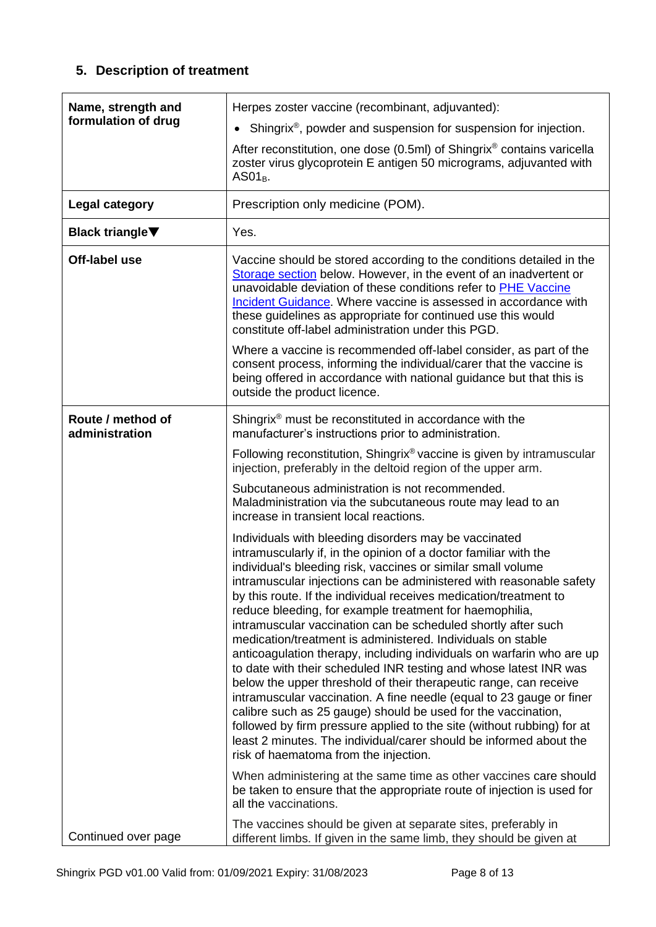# **5. Description of treatment**

<span id="page-7-0"></span>

| Name, strength and<br>formulation of drug | Herpes zoster vaccine (recombinant, adjuvanted):<br>Shingrix <sup>®</sup> , powder and suspension for suspension for injection.<br>$\bullet$<br>After reconstitution, one dose (0.5ml) of Shingrix <sup>®</sup> contains varicella<br>zoster virus glycoprotein E antigen 50 micrograms, adjuvanted with<br>$AS01_B$ .                                                                                                                                                                                                                                                                                                                                                                                                                                                                                                                                                                                                                                                                                                                                                                |
|-------------------------------------------|---------------------------------------------------------------------------------------------------------------------------------------------------------------------------------------------------------------------------------------------------------------------------------------------------------------------------------------------------------------------------------------------------------------------------------------------------------------------------------------------------------------------------------------------------------------------------------------------------------------------------------------------------------------------------------------------------------------------------------------------------------------------------------------------------------------------------------------------------------------------------------------------------------------------------------------------------------------------------------------------------------------------------------------------------------------------------------------|
| Legal category                            | Prescription only medicine (POM).                                                                                                                                                                                                                                                                                                                                                                                                                                                                                                                                                                                                                                                                                                                                                                                                                                                                                                                                                                                                                                                     |
| <b>Black triangle</b> ▼                   | Yes.                                                                                                                                                                                                                                                                                                                                                                                                                                                                                                                                                                                                                                                                                                                                                                                                                                                                                                                                                                                                                                                                                  |
| Off-label use                             | Vaccine should be stored according to the conditions detailed in the<br>Storage section below. However, in the event of an inadvertent or<br>unavoidable deviation of these conditions refer to PHE Vaccine<br>Incident Guidance. Where vaccine is assessed in accordance with<br>these guidelines as appropriate for continued use this would<br>constitute off-label administration under this PGD.                                                                                                                                                                                                                                                                                                                                                                                                                                                                                                                                                                                                                                                                                 |
|                                           | Where a vaccine is recommended off-label consider, as part of the<br>consent process, informing the individual/carer that the vaccine is<br>being offered in accordance with national guidance but that this is<br>outside the product licence.                                                                                                                                                                                                                                                                                                                                                                                                                                                                                                                                                                                                                                                                                                                                                                                                                                       |
| Route / method of<br>administration       | Shingrix <sup>®</sup> must be reconstituted in accordance with the<br>manufacturer's instructions prior to administration.                                                                                                                                                                                                                                                                                                                                                                                                                                                                                                                                                                                                                                                                                                                                                                                                                                                                                                                                                            |
|                                           | Following reconstitution, Shingrix® vaccine is given by intramuscular<br>injection, preferably in the deltoid region of the upper arm.                                                                                                                                                                                                                                                                                                                                                                                                                                                                                                                                                                                                                                                                                                                                                                                                                                                                                                                                                |
|                                           | Subcutaneous administration is not recommended.<br>Maladministration via the subcutaneous route may lead to an<br>increase in transient local reactions.                                                                                                                                                                                                                                                                                                                                                                                                                                                                                                                                                                                                                                                                                                                                                                                                                                                                                                                              |
|                                           | Individuals with bleeding disorders may be vaccinated<br>intramuscularly if, in the opinion of a doctor familiar with the<br>individual's bleeding risk, vaccines or similar small volume<br>intramuscular injections can be administered with reasonable safety<br>by this route. If the individual receives medication/treatment to<br>reduce bleeding, for example treatment for haemophilia,<br>intramuscular vaccination can be scheduled shortly after such<br>medication/treatment is administered. Individuals on stable<br>anticoagulation therapy, including individuals on warfarin who are up<br>to date with their scheduled INR testing and whose latest INR was<br>below the upper threshold of their therapeutic range, can receive<br>intramuscular vaccination. A fine needle (equal to 23 gauge or finer<br>calibre such as 25 gauge) should be used for the vaccination,<br>followed by firm pressure applied to the site (without rubbing) for at<br>least 2 minutes. The individual/carer should be informed about the<br>risk of haematoma from the injection. |
|                                           | When administering at the same time as other vaccines care should<br>be taken to ensure that the appropriate route of injection is used for<br>all the vaccinations.                                                                                                                                                                                                                                                                                                                                                                                                                                                                                                                                                                                                                                                                                                                                                                                                                                                                                                                  |
| Continued over page                       | The vaccines should be given at separate sites, preferably in<br>different limbs. If given in the same limb, they should be given at                                                                                                                                                                                                                                                                                                                                                                                                                                                                                                                                                                                                                                                                                                                                                                                                                                                                                                                                                  |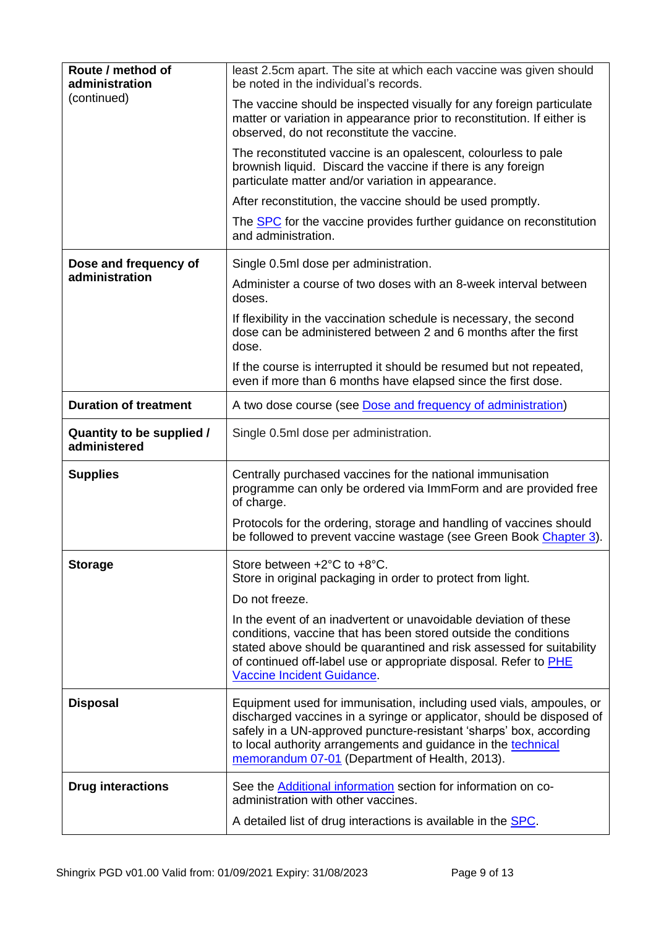<span id="page-8-0"></span>

| Route / method of<br>administration       | least 2.5cm apart. The site at which each vaccine was given should<br>be noted in the individual's records.                                                                                                                                                                                                                           |
|-------------------------------------------|---------------------------------------------------------------------------------------------------------------------------------------------------------------------------------------------------------------------------------------------------------------------------------------------------------------------------------------|
| (continued)                               | The vaccine should be inspected visually for any foreign particulate<br>matter or variation in appearance prior to reconstitution. If either is<br>observed, do not reconstitute the vaccine.                                                                                                                                         |
|                                           | The reconstituted vaccine is an opalescent, colourless to pale<br>brownish liquid. Discard the vaccine if there is any foreign<br>particulate matter and/or variation in appearance.                                                                                                                                                  |
|                                           | After reconstitution, the vaccine should be used promptly.                                                                                                                                                                                                                                                                            |
|                                           | The <b>SPC</b> for the vaccine provides further guidance on reconstitution<br>and administration.                                                                                                                                                                                                                                     |
| Dose and frequency of                     | Single 0.5ml dose per administration.                                                                                                                                                                                                                                                                                                 |
| administration                            | Administer a course of two doses with an 8-week interval between<br>doses.                                                                                                                                                                                                                                                            |
|                                           | If flexibility in the vaccination schedule is necessary, the second<br>dose can be administered between 2 and 6 months after the first<br>dose.                                                                                                                                                                                       |
|                                           | If the course is interrupted it should be resumed but not repeated,<br>even if more than 6 months have elapsed since the first dose.                                                                                                                                                                                                  |
| <b>Duration of treatment</b>              | A two dose course (see Dose and frequency of administration)                                                                                                                                                                                                                                                                          |
| Quantity to be supplied /<br>administered | Single 0.5ml dose per administration.                                                                                                                                                                                                                                                                                                 |
| <b>Supplies</b>                           | Centrally purchased vaccines for the national immunisation<br>programme can only be ordered via ImmForm and are provided free<br>of charge.                                                                                                                                                                                           |
|                                           | Protocols for the ordering, storage and handling of vaccines should<br>be followed to prevent vaccine wastage (see Green Book Chapter 3).                                                                                                                                                                                             |
| <b>Storage</b>                            | Store between +2°C to +8°C.<br>Store in original packaging in order to protect from light.<br>Do not freeze.                                                                                                                                                                                                                          |
|                                           | In the event of an inadvertent or unavoidable deviation of these<br>conditions, vaccine that has been stored outside the conditions<br>stated above should be quarantined and risk assessed for suitability<br>of continued off-label use or appropriate disposal. Refer to PHE<br>Vaccine Incident Guidance.                         |
| <b>Disposal</b>                           | Equipment used for immunisation, including used vials, ampoules, or<br>discharged vaccines in a syringe or applicator, should be disposed of<br>safely in a UN-approved puncture-resistant 'sharps' box, according<br>to local authority arrangements and guidance in the technical<br>memorandum 07-01 (Department of Health, 2013). |
| <b>Drug interactions</b>                  | See the <b>Additional information</b> section for information on co-<br>administration with other vaccines.                                                                                                                                                                                                                           |
|                                           | A detailed list of drug interactions is available in the <b>SPC</b> .                                                                                                                                                                                                                                                                 |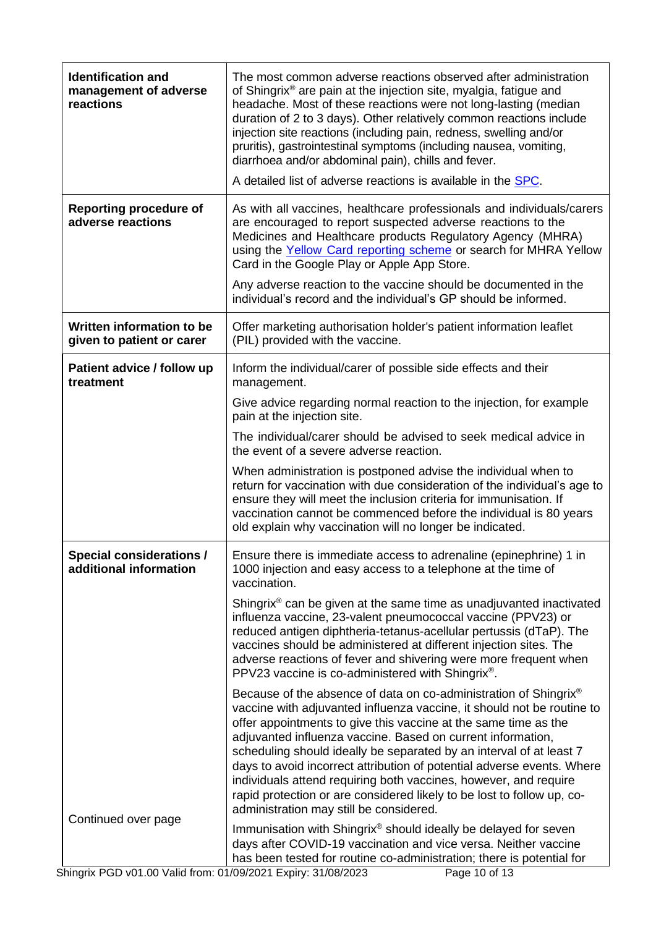<span id="page-9-0"></span>

| <b>Identification and</b><br>management of adverse<br>reactions | The most common adverse reactions observed after administration<br>of Shingrix® are pain at the injection site, myalgia, fatigue and<br>headache. Most of these reactions were not long-lasting (median<br>duration of 2 to 3 days). Other relatively common reactions include<br>injection site reactions (including pain, redness, swelling and/or<br>pruritis), gastrointestinal symptoms (including nausea, vomiting,<br>diarrhoea and/or abdominal pain), chills and fever.<br>A detailed list of adverse reactions is available in the <b>SPC</b> .                                                                          |
|-----------------------------------------------------------------|------------------------------------------------------------------------------------------------------------------------------------------------------------------------------------------------------------------------------------------------------------------------------------------------------------------------------------------------------------------------------------------------------------------------------------------------------------------------------------------------------------------------------------------------------------------------------------------------------------------------------------|
|                                                                 |                                                                                                                                                                                                                                                                                                                                                                                                                                                                                                                                                                                                                                    |
| <b>Reporting procedure of</b><br>adverse reactions              | As with all vaccines, healthcare professionals and individuals/carers<br>are encouraged to report suspected adverse reactions to the<br>Medicines and Healthcare products Regulatory Agency (MHRA)<br>using the Yellow Card reporting scheme or search for MHRA Yellow<br>Card in the Google Play or Apple App Store.                                                                                                                                                                                                                                                                                                              |
|                                                                 | Any adverse reaction to the vaccine should be documented in the<br>individual's record and the individual's GP should be informed.                                                                                                                                                                                                                                                                                                                                                                                                                                                                                                 |
| Written information to be<br>given to patient or carer          | Offer marketing authorisation holder's patient information leaflet<br>(PIL) provided with the vaccine.                                                                                                                                                                                                                                                                                                                                                                                                                                                                                                                             |
| Patient advice / follow up<br>treatment                         | Inform the individual/carer of possible side effects and their<br>management.                                                                                                                                                                                                                                                                                                                                                                                                                                                                                                                                                      |
|                                                                 | Give advice regarding normal reaction to the injection, for example<br>pain at the injection site.                                                                                                                                                                                                                                                                                                                                                                                                                                                                                                                                 |
|                                                                 | The individual/carer should be advised to seek medical advice in<br>the event of a severe adverse reaction.                                                                                                                                                                                                                                                                                                                                                                                                                                                                                                                        |
|                                                                 | When administration is postponed advise the individual when to<br>return for vaccination with due consideration of the individual's age to<br>ensure they will meet the inclusion criteria for immunisation. If<br>vaccination cannot be commenced before the individual is 80 years<br>old explain why vaccination will no longer be indicated.                                                                                                                                                                                                                                                                                   |
| <b>Special considerations /</b><br>additional information       | Ensure there is immediate access to adrenaline (epinephrine) 1 in<br>1000 injection and easy access to a telephone at the time of<br>vaccination.                                                                                                                                                                                                                                                                                                                                                                                                                                                                                  |
|                                                                 | Shingrix <sup>®</sup> can be given at the same time as unadjuvanted inactivated<br>influenza vaccine, 23-valent pneumococcal vaccine (PPV23) or<br>reduced antigen diphtheria-tetanus-acellular pertussis (dTaP). The<br>vaccines should be administered at different injection sites. The<br>adverse reactions of fever and shivering were more frequent when<br>PPV23 vaccine is co-administered with Shingrix®.                                                                                                                                                                                                                 |
|                                                                 | Because of the absence of data on co-administration of Shingrix <sup>®</sup><br>vaccine with adjuvanted influenza vaccine, it should not be routine to<br>offer appointments to give this vaccine at the same time as the<br>adjuvanted influenza vaccine. Based on current information,<br>scheduling should ideally be separated by an interval of at least 7<br>days to avoid incorrect attribution of potential adverse events. Where<br>individuals attend requiring both vaccines, however, and require<br>rapid protection or are considered likely to be lost to follow up, co-<br>administration may still be considered. |
| Continued over page                                             | Immunisation with Shingrix <sup>®</sup> should ideally be delayed for seven<br>days after COVID-19 vaccination and vice versa. Neither vaccine<br>has been tested for routine co-administration; there is potential for                                                                                                                                                                                                                                                                                                                                                                                                            |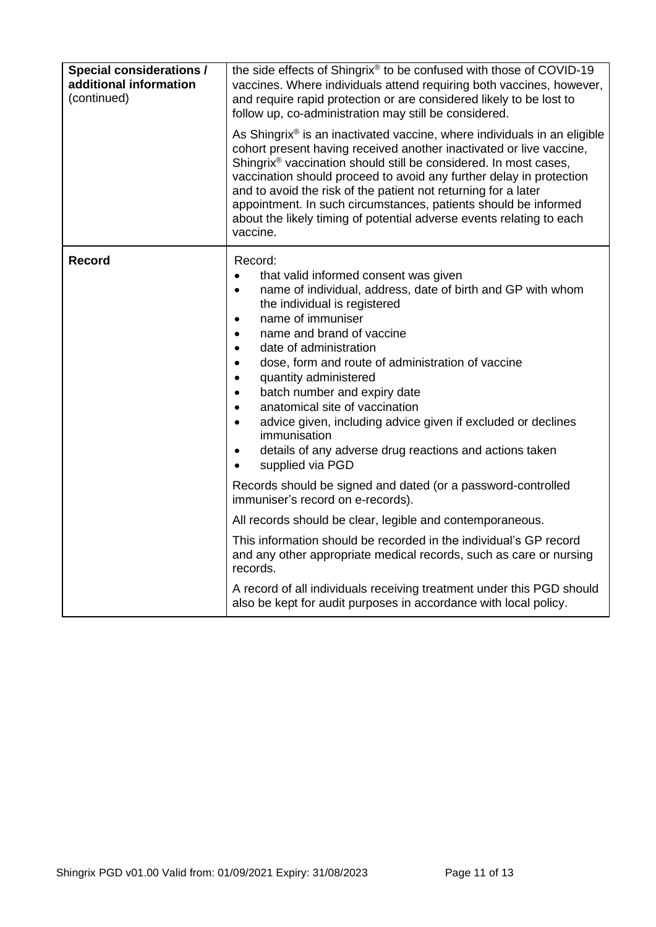| <b>Special considerations /</b><br>additional information<br>(continued) | the side effects of Shingrix® to be confused with those of COVID-19<br>vaccines. Where individuals attend requiring both vaccines, however,<br>and require rapid protection or are considered likely to be lost to<br>follow up, co-administration may still be considered.<br>As Shingrix <sup>®</sup> is an inactivated vaccine, where individuals in an eligible<br>cohort present having received another inactivated or live vaccine,<br>Shingrix <sup>®</sup> vaccination should still be considered. In most cases,<br>vaccination should proceed to avoid any further delay in protection<br>and to avoid the risk of the patient not returning for a later<br>appointment. In such circumstances, patients should be informed<br>about the likely timing of potential adverse events relating to each<br>vaccine. |  |  |
|--------------------------------------------------------------------------|----------------------------------------------------------------------------------------------------------------------------------------------------------------------------------------------------------------------------------------------------------------------------------------------------------------------------------------------------------------------------------------------------------------------------------------------------------------------------------------------------------------------------------------------------------------------------------------------------------------------------------------------------------------------------------------------------------------------------------------------------------------------------------------------------------------------------|--|--|
| <b>Record</b>                                                            | Record:<br>that valid informed consent was given<br>$\bullet$<br>name of individual, address, date of birth and GP with whom<br>$\bullet$<br>the individual is registered<br>name of immuniser<br>$\bullet$<br>name and brand of vaccine<br>$\bullet$<br>date of administration<br>$\bullet$<br>dose, form and route of administration of vaccine<br>$\bullet$<br>quantity administered<br>$\bullet$<br>batch number and expiry date<br>$\bullet$<br>anatomical site of vaccination<br>$\bullet$<br>advice given, including advice given if excluded or declines<br>$\bullet$<br>immunisation<br>details of any adverse drug reactions and actions taken<br>$\bullet$<br>supplied via PGD<br>$\bullet$                                                                                                                     |  |  |
|                                                                          | Records should be signed and dated (or a password-controlled<br>immuniser's record on e-records).                                                                                                                                                                                                                                                                                                                                                                                                                                                                                                                                                                                                                                                                                                                          |  |  |
|                                                                          | All records should be clear, legible and contemporaneous.                                                                                                                                                                                                                                                                                                                                                                                                                                                                                                                                                                                                                                                                                                                                                                  |  |  |
|                                                                          | This information should be recorded in the individual's GP record<br>and any other appropriate medical records, such as care or nursing<br>records.                                                                                                                                                                                                                                                                                                                                                                                                                                                                                                                                                                                                                                                                        |  |  |
|                                                                          | A record of all individuals receiving treatment under this PGD should<br>also be kept for audit purposes in accordance with local policy.                                                                                                                                                                                                                                                                                                                                                                                                                                                                                                                                                                                                                                                                                  |  |  |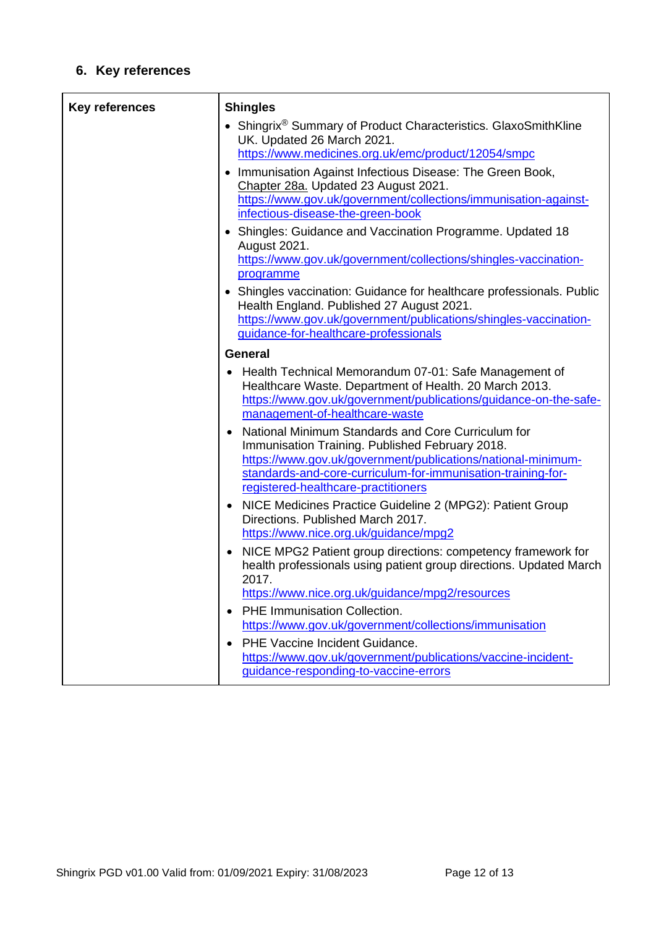# **6. Key references**

| <b>Key references</b> | <b>Shingles</b>                                                                                                                                                                                                                                                              |
|-----------------------|------------------------------------------------------------------------------------------------------------------------------------------------------------------------------------------------------------------------------------------------------------------------------|
|                       | • Shingrix <sup>®</sup> Summary of Product Characteristics. GlaxoSmithKline<br>UK. Updated 26 March 2021.                                                                                                                                                                    |
|                       | https://www.medicines.org.uk/emc/product/12054/smpc                                                                                                                                                                                                                          |
|                       | Immunisation Against Infectious Disease: The Green Book,<br>$\bullet$<br>Chapter 28a. Updated 23 August 2021.<br>https://www.gov.uk/government/collections/immunisation-against-<br>infectious-disease-the-green-book                                                        |
|                       | • Shingles: Guidance and Vaccination Programme. Updated 18<br><b>August 2021.</b><br>https://www.gov.uk/government/collections/shingles-vaccination-                                                                                                                         |
|                       | programme                                                                                                                                                                                                                                                                    |
|                       | • Shingles vaccination: Guidance for healthcare professionals. Public<br>Health England. Published 27 August 2021.<br>https://www.gov.uk/government/publications/shingles-vaccination-                                                                                       |
|                       | guidance-for-healthcare-professionals                                                                                                                                                                                                                                        |
|                       | <b>General</b>                                                                                                                                                                                                                                                               |
|                       | Health Technical Memorandum 07-01: Safe Management of<br>Healthcare Waste. Department of Health. 20 March 2013.<br>https://www.gov.uk/government/publications/guidance-on-the-safe-<br>management-of-healthcare-waste                                                        |
|                       | National Minimum Standards and Core Curriculum for<br>Immunisation Training. Published February 2018.<br>https://www.gov.uk/government/publications/national-minimum-<br>standards-and-core-curriculum-for-immunisation-training-for-<br>registered-healthcare-practitioners |
|                       | NICE Medicines Practice Guideline 2 (MPG2): Patient Group<br>٠<br>Directions. Published March 2017.<br>https://www.nice.org.uk/guidance/mpg2                                                                                                                                 |
|                       | NICE MPG2 Patient group directions: competency framework for<br>health professionals using patient group directions. Updated March<br>2017.<br>https://www.nice.org.uk/guidance/mpg2/resources                                                                               |
|                       | <b>PHE Immunisation Collection.</b><br>$\bullet$                                                                                                                                                                                                                             |
|                       | https://www.gov.uk/government/collections/immunisation                                                                                                                                                                                                                       |
|                       | PHE Vaccine Incident Guidance.<br>https://www.gov.uk/government/publications/vaccine-incident-<br>guidance-responding-to-vaccine-errors                                                                                                                                      |